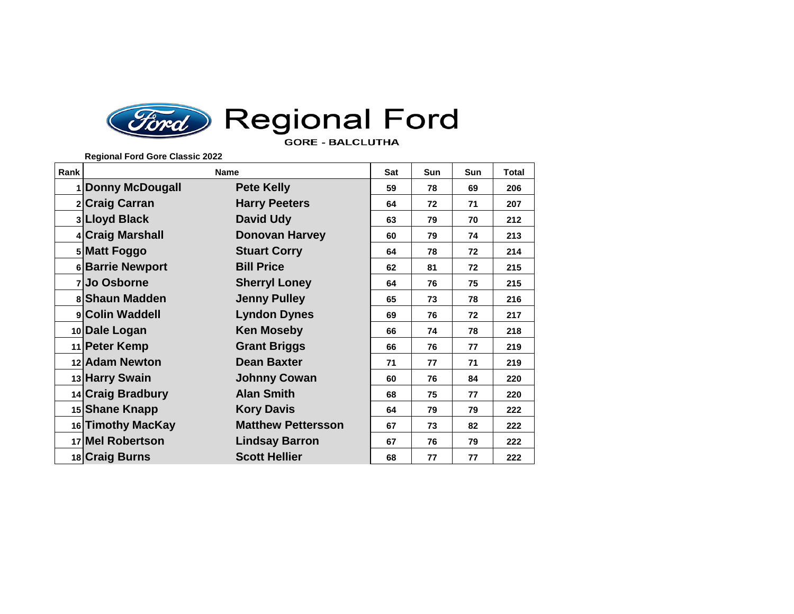

## **Ford** Regional Ford **GORE - BALCLUTHA**

**Regional Ford Gore Classic 2022**

| Rank | <b>Name</b>       |                           | Sat | <b>Sun</b> | Sun | <b>Total</b> |
|------|-------------------|---------------------------|-----|------------|-----|--------------|
|      | 1 Donny McDougall | <b>Pete Kelly</b>         | 59  | 78         | 69  | 206          |
|      | 2 Craig Carran    | <b>Harry Peeters</b>      | 64  | 72         | 71  | 207          |
|      | 3 Lloyd Black     | <b>David Udy</b>          | 63  | 79         | 70  | 212          |
|      | 4 Craig Marshall  | <b>Donovan Harvey</b>     | 60  | 79         | 74  | 213          |
|      | 5 Matt Foggo      | <b>Stuart Corry</b>       | 64  | 78         | 72  | 214          |
|      | 6 Barrie Newport  | <b>Bill Price</b>         | 62  | 81         | 72  | 215          |
|      | 7 Jo Osborne      | <b>Sherryl Loney</b>      | 64  | 76         | 75  | 215          |
|      | 8 Shaun Madden    | <b>Jenny Pulley</b>       | 65  | 73         | 78  | 216          |
|      | 9 Colin Waddell   | <b>Lyndon Dynes</b>       | 69  | 76         | 72  | 217          |
|      | 10 Dale Logan     | <b>Ken Moseby</b>         | 66  | 74         | 78  | 218          |
|      | 11 Peter Kemp     | <b>Grant Briggs</b>       | 66  | 76         | 77  | 219          |
|      | 12 Adam Newton    | <b>Dean Baxter</b>        | 71  | 77         | 71  | 219          |
|      | 13 Harry Swain    | <b>Johnny Cowan</b>       | 60  | 76         | 84  | 220          |
|      | 14 Craig Bradbury | <b>Alan Smith</b>         | 68  | 75         | 77  | 220          |
|      | 15 Shane Knapp    | <b>Kory Davis</b>         | 64  | 79         | 79  | 222          |
|      | 16 Timothy MacKay | <b>Matthew Pettersson</b> | 67  | 73         | 82  | 222          |
|      | 17 Mel Robertson  | <b>Lindsay Barron</b>     | 67  | 76         | 79  | 222          |
|      | 18 Craig Burns    | <b>Scott Hellier</b>      | 68  | 77         | 77  | 222          |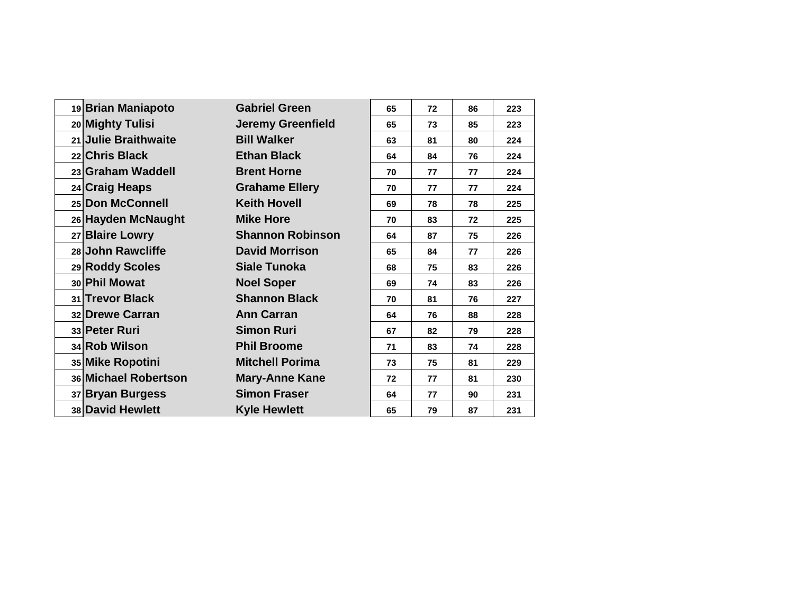| 19 Brian Maniapoto   | <b>Gabriel Green</b>     | 65 | 72 | 86 | 223 |
|----------------------|--------------------------|----|----|----|-----|
| 20 Mighty Tulisi     | <b>Jeremy Greenfield</b> | 65 | 73 | 85 | 223 |
| 21 Julie Braithwaite | <b>Bill Walker</b>       | 63 | 81 | 80 | 224 |
| 22 Chris Black       | <b>Ethan Black</b>       | 64 | 84 | 76 | 224 |
| 23 Graham Waddell    | <b>Brent Horne</b>       | 70 | 77 | 77 | 224 |
| 24 Craig Heaps       | <b>Grahame Ellery</b>    | 70 | 77 | 77 | 224 |
| 25 Don McConnell     | <b>Keith Hovell</b>      | 69 | 78 | 78 | 225 |
| 26 Hayden McNaught   | <b>Mike Hore</b>         | 70 | 83 | 72 | 225 |
| 27 Blaire Lowry      | <b>Shannon Robinson</b>  | 64 | 87 | 75 | 226 |
| 28 John Rawcliffe    | <b>David Morrison</b>    | 65 | 84 | 77 | 226 |
| 29 Roddy Scoles      | <b>Siale Tunoka</b>      | 68 | 75 | 83 | 226 |
| 30 Phil Mowat        | <b>Noel Soper</b>        | 69 | 74 | 83 | 226 |
| 31 Trevor Black      | <b>Shannon Black</b>     | 70 | 81 | 76 | 227 |
| 32 Drewe Carran      | <b>Ann Carran</b>        | 64 | 76 | 88 | 228 |
| 33 Peter Ruri        | <b>Simon Ruri</b>        | 67 | 82 | 79 | 228 |
| 34 Rob Wilson        | <b>Phil Broome</b>       | 71 | 83 | 74 | 228 |
| 35 Mike Ropotini     | <b>Mitchell Porima</b>   | 73 | 75 | 81 | 229 |
| 36 Michael Robertson | <b>Mary-Anne Kane</b>    | 72 | 77 | 81 | 230 |
| 37 Bryan Burgess     | <b>Simon Fraser</b>      | 64 | 77 | 90 | 231 |
| 38 David Hewlett     | <b>Kyle Hewlett</b>      | 65 | 79 | 87 | 231 |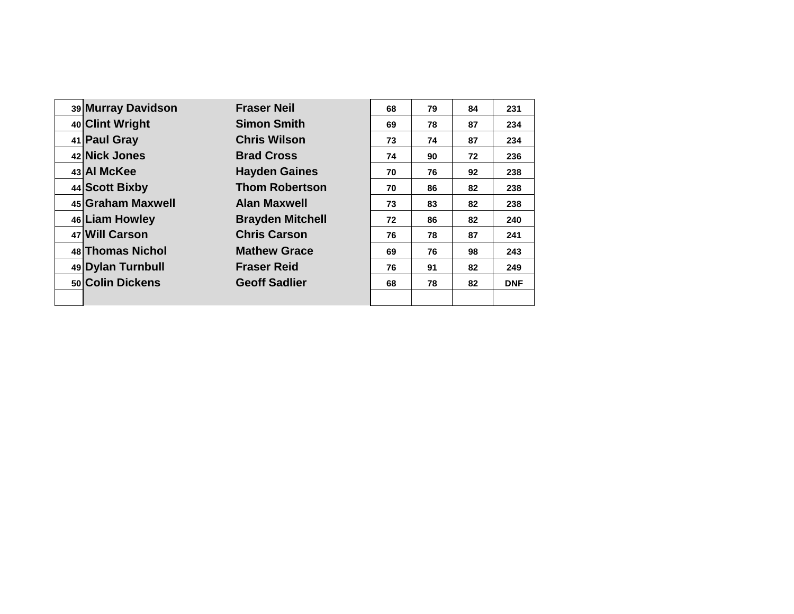|  | 39 Murray Davidson | <b>Fraser Neil</b>      | 68 | 79 | 84 | 231        |
|--|--------------------|-------------------------|----|----|----|------------|
|  | 40 Clint Wright    | <b>Simon Smith</b>      | 69 | 78 | 87 | 234        |
|  | 41 Paul Gray       | <b>Chris Wilson</b>     | 73 | 74 | 87 | 234        |
|  | 42 Nick Jones      | <b>Brad Cross</b>       | 74 | 90 | 72 | 236        |
|  | 43 AI McKee        | <b>Hayden Gaines</b>    | 70 | 76 | 92 | 238        |
|  | 44 Scott Bixby     | <b>Thom Robertson</b>   | 70 | 86 | 82 | 238        |
|  | 45 Graham Maxwell  | <b>Alan Maxwell</b>     | 73 | 83 | 82 | 238        |
|  | 46 Liam Howley     | <b>Brayden Mitchell</b> | 72 | 86 | 82 | 240        |
|  | 47 Will Carson     | <b>Chris Carson</b>     | 76 | 78 | 87 | 241        |
|  | 48 Thomas Nichol   | <b>Mathew Grace</b>     | 69 | 76 | 98 | 243        |
|  | 49 Dylan Turnbull  | <b>Fraser Reid</b>      | 76 | 91 | 82 | 249        |
|  | 50 Colin Dickens   | <b>Geoff Sadlier</b>    | 68 | 78 | 82 | <b>DNF</b> |
|  |                    |                         |    |    |    |            |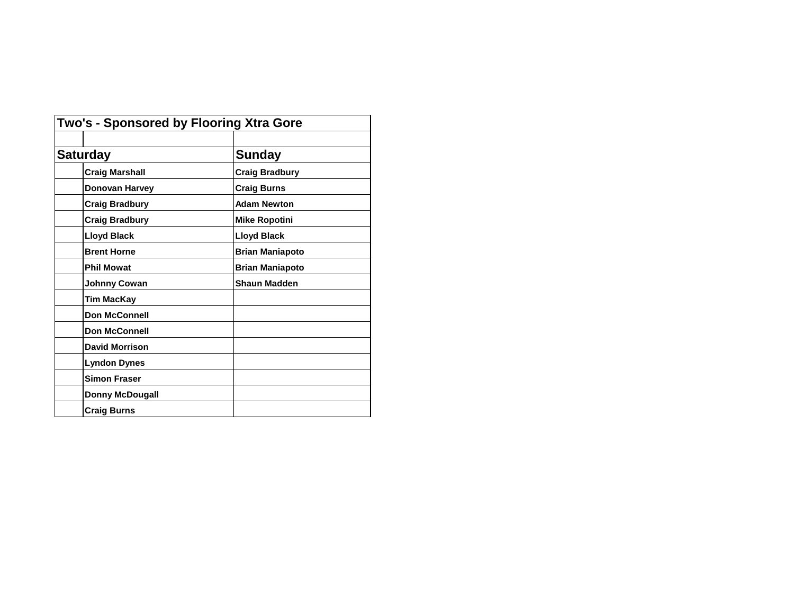| Two's - Sponsored by Flooring Xtra Gore |                        |  |
|-----------------------------------------|------------------------|--|
| <b>Saturday</b>                         | <b>Sunday</b>          |  |
| <b>Craig Marshall</b>                   | <b>Craig Bradbury</b>  |  |
| Donovan Harvey                          | <b>Craig Burns</b>     |  |
| <b>Craig Bradbury</b>                   | <b>Adam Newton</b>     |  |
| <b>Craig Bradbury</b>                   | <b>Mike Ropotini</b>   |  |
| <b>Lloyd Black</b>                      | <b>Lloyd Black</b>     |  |
| <b>Brent Horne</b>                      | <b>Brian Maniapoto</b> |  |
| <b>Phil Mowat</b>                       | <b>Brian Maniapoto</b> |  |
| Johnny Cowan                            | <b>Shaun Madden</b>    |  |
| <b>Tim MacKay</b>                       |                        |  |
| <b>Don McConnell</b>                    |                        |  |
| <b>Don McConnell</b>                    |                        |  |
| <b>David Morrison</b>                   |                        |  |
| <b>Lyndon Dynes</b>                     |                        |  |
| <b>Simon Fraser</b>                     |                        |  |
| <b>Donny McDougall</b>                  |                        |  |
| <b>Craig Burns</b>                      |                        |  |